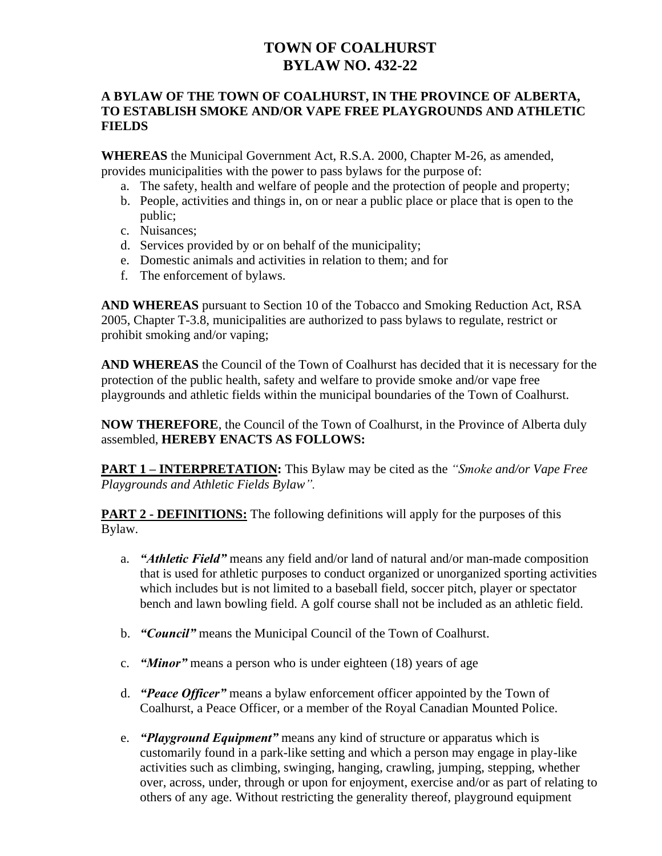# **TOWN OF COALHURST BYLAW NO. 432-22**

#### **A BYLAW OF THE TOWN OF COALHURST, IN THE PROVINCE OF ALBERTA, TO ESTABLISH SMOKE AND/OR VAPE FREE PLAYGROUNDS AND ATHLETIC FIELDS**

**WHEREAS** the Municipal Government Act, R.S.A. 2000, Chapter M-26, as amended, provides municipalities with the power to pass bylaws for the purpose of:

- a. The safety, health and welfare of people and the protection of people and property;
- b. People, activities and things in, on or near a public place or place that is open to the public;
- c. Nuisances;
- d. Services provided by or on behalf of the municipality;
- e. Domestic animals and activities in relation to them; and for
- f. The enforcement of bylaws.

**AND WHEREAS** pursuant to Section 10 of the Tobacco and Smoking Reduction Act, RSA 2005, Chapter T-3.8, municipalities are authorized to pass bylaws to regulate, restrict or prohibit smoking and/or vaping;

**AND WHEREAS** the Council of the Town of Coalhurst has decided that it is necessary for the protection of the public health, safety and welfare to provide smoke and/or vape free playgrounds and athletic fields within the municipal boundaries of the Town of Coalhurst.

**NOW THEREFORE**, the Council of the Town of Coalhurst, in the Province of Alberta duly assembled, **HEREBY ENACTS AS FOLLOWS:**

**PART 1 – INTERPRETATION:** This Bylaw may be cited as the *"Smoke and/or Vape Free Playgrounds and Athletic Fields Bylaw".*

**PART 2 - DEFINITIONS:** The following definitions will apply for the purposes of this Bylaw.

- a. *"Athletic Field"* means any field and/or land of natural and/or man-made composition that is used for athletic purposes to conduct organized or unorganized sporting activities which includes but is not limited to a baseball field, soccer pitch, player or spectator bench and lawn bowling field. A golf course shall not be included as an athletic field.
- b. *"Council"* means the Municipal Council of the Town of Coalhurst.
- c. *"Minor"* means a person who is under eighteen (18) years of age
- d. *"Peace Officer"* means a bylaw enforcement officer appointed by the Town of Coalhurst, a Peace Officer, or a member of the Royal Canadian Mounted Police.
- e. *"Playground Equipment"* means any kind of structure or apparatus which is customarily found in a park-like setting and which a person may engage in play-like activities such as climbing, swinging, hanging, crawling, jumping, stepping, whether over, across, under, through or upon for enjoyment, exercise and/or as part of relating to others of any age. Without restricting the generality thereof, playground equipment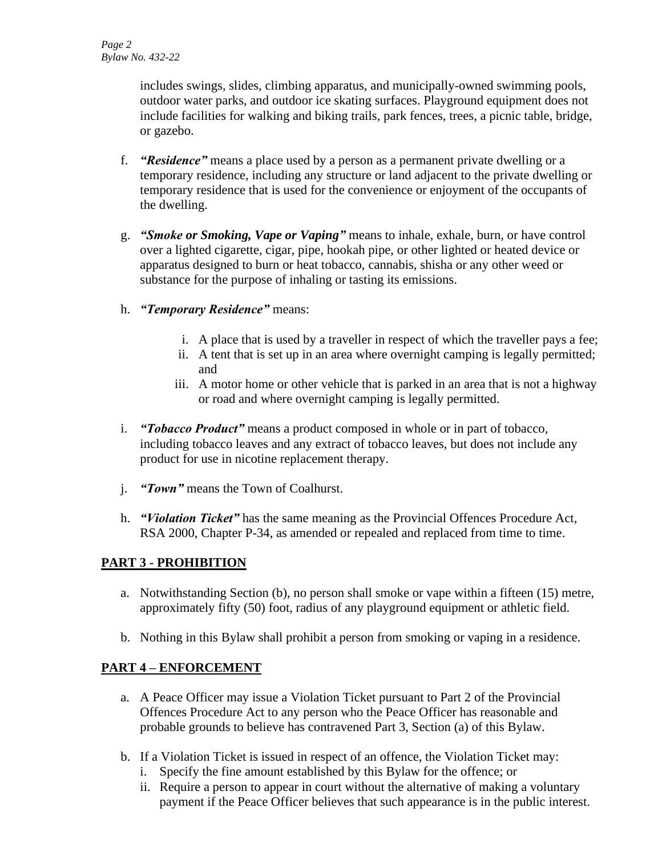includes swings, slides, climbing apparatus, and municipally-owned swimming pools, outdoor water parks, and outdoor ice skating surfaces. Playground equipment does not include facilities for walking and biking trails, park fences, trees, a picnic table, bridge, or gazebo.

- f. *"Residence"* means a place used by a person as a permanent private dwelling or a temporary residence, including any structure or land adjacent to the private dwelling or temporary residence that is used for the convenience or enjoyment of the occupants of the dwelling.
- g. *"Smoke or Smoking, Vape or Vaping"* means to inhale, exhale, burn, or have control over a lighted cigarette, cigar, pipe, hookah pipe, or other lighted or heated device or apparatus designed to burn or heat tobacco, cannabis, shisha or any other weed or substance for the purpose of inhaling or tasting its emissions.
- h. *"Temporary Residence"* means:
	- i. A place that is used by a traveller in respect of which the traveller pays a fee;
	- ii. A tent that is set up in an area where overnight camping is legally permitted; and
	- iii. A motor home or other vehicle that is parked in an area that is not a highway or road and where overnight camping is legally permitted.
- i. *"Tobacco Product"* means a product composed in whole or in part of tobacco, including tobacco leaves and any extract of tobacco leaves, but does not include any product for use in nicotine replacement therapy.
- j. *"Town"* means the Town of Coalhurst.
- h. *"Violation Ticket"* has the same meaning as the Provincial Offences Procedure Act, RSA 2000, Chapter P-34, as amended or repealed and replaced from time to time.

# **PART 3 - PROHIBITION**

- a. Notwithstanding Section (b), no person shall smoke or vape within a fifteen (15) metre, approximately fifty (50) foot, radius of any playground equipment or athletic field.
- b. Nothing in this Bylaw shall prohibit a person from smoking or vaping in a residence.

# **PART 4 – ENFORCEMENT**

- a. A Peace Officer may issue a Violation Ticket pursuant to Part 2 of the Provincial Offences Procedure Act to any person who the Peace Officer has reasonable and probable grounds to believe has contravened Part 3, Section (a) of this Bylaw.
- b. If a Violation Ticket is issued in respect of an offence, the Violation Ticket may:
	- i. Specify the fine amount established by this Bylaw for the offence; or
	- ii. Require a person to appear in court without the alternative of making a voluntary payment if the Peace Officer believes that such appearance is in the public interest.